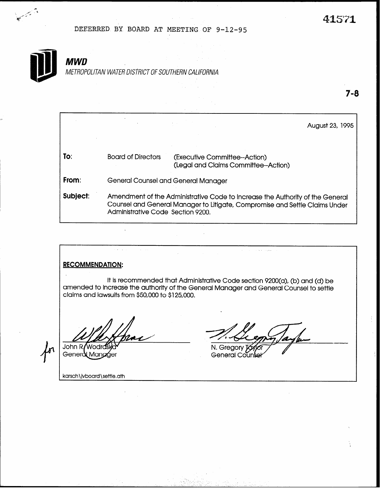7-8

DEFERRED BY BOARD AT MEETING OF 9-12-95



All Carpenter

# **MWD**

METROPOLITAN WATER DISTRICT OF SOUTHERN CALIFORNIA

August 23, 1995 To: Board of Directors (Executive Committee--Action) (Legal and Claims Committee--Action) From: Subject: General Counsel and General Manager Amendment of the Administrative Code to Increase the Authority of the General Counsel and General Manager to Litigate, Compromise and Settle Claims Under Administrative Code Section 9200,

## RECOMMENDATION:

It is recommended that Administrative Code section 9200(a), (b) and (d) be amended to increase the authority of the General Manager and General Counsel to settle claims and lawsuits from \$50,000 to \$125,000.

 $\alpha=1$ 

John R**/**Wodrc Generd Mangger

N. Gregory

 $\sim$   $\sim$ .<br>. . . .

General Coun

karsch\jvboard\settle,ath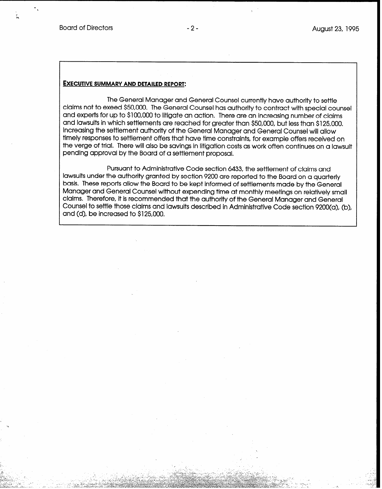#### EXECUTIVE SUMMARY AND DETAILED REPORT:

The General Manager and General Counsel currently have authority to settle claims not to exeed \$50,000. The General Counsel has authority to contract with special counsel and experts for up to \$100,000 to litigate an action. There are an increasing number of claims and lawsuits in which settlements are reached for greater than \$50,000, but less than \$125,000. Increasing the settlement authority of the General Manager and General Counsel will allow timely responses to settlement offers that have time constraints, for example offers received on the verge of trial. There will also be savings in litigation costs as work often continues on a lawsuit pending approval by the Board of a settlement proposal.

Pursuant to Administrative Code section 6433, the settlement of claims and lawsuits under the authority granted by section 9200 are reported to the Board on a quarterly basis. These reports allow the Board to be kept informed of settlements made by the General Manager and General Counsel without expending time at monthly meetings on relatively small claims. Therefore, it is recommended that the authority of the General Manager and General Counsel to settle those claims and lawsuits described in Administrative Code section 9200(a), (b), and (d), be increased to \$125,000.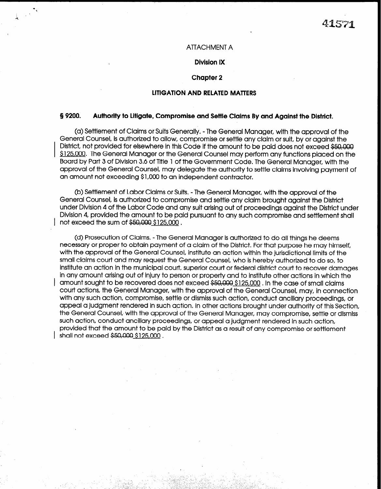#### ATTACHMENT A

. 1

-7.

I

### Division IX

#### Chapter 2

#### LITIGATION AND RELATED MATTERS

#### 5 9200. Authority to litigate, Compromise and Settle Claims By and Against the District.

(a) Settlement of Claims or SuitsGenerally. - The General Manager, with the approval of the General Counsel, is authorized to allow, compromise or settle any claim or suit, by or against the District, not provided for elsewhere in this Code if the amount to be paid does not exceed \$50,000 \$125,000. The General Manager or the General Counsel may perform any functions placed on the Board by Part 3 of Division 3.6 of Title 1 of the Government Code. The General Manager, with the approval of the General Counsel, may delegate the authority to settle claims involving payment of an amount not exceeding \$1,000 to an independent contractor,

(b) Settlement of Labor Claims or Suits. - The General Manager, with the approval of the General Counsel, is authorized to compromise and settle any claim brought against the District under Division 4 of the Labor Code and any suit arising out of proceedings against the District under Division 4, provided the amount to be paid pursuant to any such compromise and settlement shall not exceed the sum of \$50,000 \$125,000.

(d) Prosecution of Claims, - The General Manager is authorized to do all things he deems necessary or proper to obtain payment of a claim of the District. For that purpose he may himself, with the approval of the General Counsel, institute an action within the jurisdictional limits of the small claims court and may request the General Counsel, tiho is hereby authorized to do so, to institute an action in the municipal court, superior court or federal district court to recover damages in any amount arising out of injury to person or property and to institute other actions in which the amount sought to be recovered does not exceed \$50,000 \$125,000 . In the case of small claims court actions, the General Manager, with the approval of the General Counsel, may, in connection with any such action, compromise, settle or dismiss such action, conduct ancillary proceedings, or appeal a judgment rendered in such action. In other actions brought under authority of this Section, the General Counsel, with the approval of the General Manager, may compromise, settle or dismiss such action, conduct ancillary proceedings, or appeal a judgment rendered in such action, provided that the amount to be paid by the District as a result of any compromise or settlement shall not exceed \$50,000 \$125,000.

.I, \_- , .

\_ : ; ,, \_ " , e. - I- -; . \_\_

. . '

\_'. .\_'

1 ' -1 ,

\_ . .